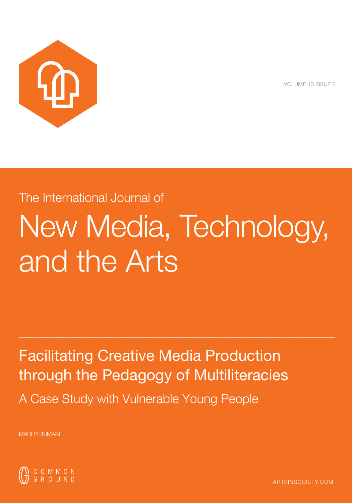

VOLUME 13 ISSUE 3

# The International Journal of New Media, Technology, and the Arts

 $\_$  . The contribution of the contribution of  $\mathcal{L}_1$  ,  $\mathcal{L}_2$  ,  $\mathcal{L}_3$  ,  $\mathcal{L}_4$  ,  $\mathcal{L}_5$  ,  $\mathcal{L}_6$  ,  $\mathcal{L}_7$  ,  $\mathcal{L}_8$  ,  $\mathcal{L}_9$  ,  $\mathcal{L}_9$  ,  $\mathcal{L}_1$  ,  $\mathcal{L}_2$  ,  $\mathcal{L}_3$  ,  $\mathcal{L}_5$  ,  $\mathcal{L}_$ 

Facilitating Creative Media Production through the Pedagogy of Multiliteracies A Case Study with Vulnerable Young People

MARI PIENIMÄKI



ARTSINSOCIETY.COM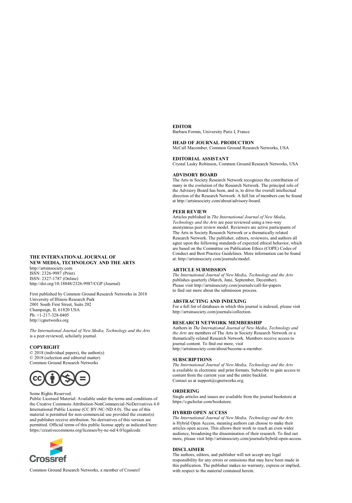#### **THE INTERNATIONAL JOURNAL OF NEW MEDIA, TECHNOLOGY AND THE ARTS**  http://artsinsociety.com

ISSN: 2326-9987 (Print) ISSN: 2327-1787 (Online) http://doi.org/10.18848/2326-9987/CGP (Journal)

First published by Common Ground Research Networks in 2018 University of Illinois Research Park [2001 South First Street,](http://www.artsinsociety.com/) Suite 202 Champaign, IL 61820 USA  $Ph: +1.217.328.0405$ [http://cgnetworks.org](http://doi.org/10.18848/2326-9987/CGP)

*The International Journal of New Media, Technology and the Arts*  is a peer-reviewed, scholarly journal.

## **COPYRIGHT**

© 2018 (individual papers), the author(s) © 2018 [\(selection and](http://cgnetworks.org/) editorial matter) Common Ground Research Networks



#### Some Rights Reserved.

Public Licensed Material: Available under the terms and conditions of the Creative Commons Attribution-NonCommercial-NoDerivatives 4.0 International Public License (CC BY-NC-ND 4.0). The use of this material is permitted for non-commercial use provided the creator(s) and publisher receive attribution. No derivatives of this version are permitted. Official terms of this public license apply as indicated here: https://creativecommons.org/lice[nses/by-nc-nd/4.0/legalcode](mailto:support@cgnetworks.org)



Common Ground Research Networks, a member of Crossref

#### **EDITOR**

Barbara Formis, University Paris I, France

#### **HEAD OF JOURNAL PRODUCTION**

McCall Macomber, Common Ground Research Networks, USA

#### **EDITORIAL ASSISTANT**

Crystal Lasky Robinson, Common Ground Research Networks, USA

#### **ADVISORY BOARD**

The Arts in Society Research Network recognizes the contribution of many in the evolution of the Research Network. The principal role of the Advisory Board has been, and is, to drive the overall intellectual direction of the Research Network. A full list of members can be found at http://artsinsociety.com/about/advisory-board.

### **PEER REVIEW**

Articles published in *The International Journal of New Media, Technology and the Arts* are peer reviewed using a two-way anonymous peer review model. Reviewers are active participants of The Arts in Society Research Network or a thematically related Research Network. The publisher, editors, reviewers, and authors all agree upon the following standards of expected ethical behavior, which are based on the Committee on Publication Ethics (COPE) Codes of Conduct and Best Practice Guidelines. More information can be found at: http://artsinsociety[.com/journals/model.](http://www.artsinsociety.com/journals/editors) 

## **ARTICLE SUBMISSION**

*The International Journal of New Media, Technology and the Arts*  publishes quarterly (March, June, September, December). Please visi[t http://artsinsociety.com/journals/call-for-papers](http://www.artsinsociety.com/journals/call-for-papers) to find out more about the submission process.

#### **ABSTRACTING AND INDEXING**

For a full list of databases in which this journal is indexed, please visit [http://artsinsociety.com/journals/collection.](http://www.artsinsociety.com/journals/collection)

#### **RESEARCH NETWORK MEMBERSHIP**

Authors in *The International Journal of New Media, Technology and the Arts* are members of The Arts in Society Research Network or a thematically related Research Network. Members receive access to journal content. To find out more, visit [http://artsinsociety.com/about/become-a-member.](http://www.artsinsociety.com/about/become-a-member) 

#### **SUBSCRIPTIONS**

*The International Journal of New Media, Technology and the Arts* is available in electronic and print formats. Subscribe to gain access to content from the current year and the entire backlist. Contact us a[t support@cgnetworks.org.](mailto:support@cgnetworks.org)

## **ORDERING**

Single articles and issues are available from the journal bookstore at https://cgscholar.com/bookstore.

#### **HYBRID OPEN ACCESS**

*The International Journal of New Media, Technology and the Arts*  is Hybrid Open Access, meaning authors can choose to make their articles open access. This allows their work to reach an even wider audience, broadening the dissemination of their research. To find out more, please visi[t http://artsinsociety.com/journals/hybrid-open-access.](http://www.artsinsociety.com/journals/hybrid-open-access)

#### **DISCLAIMER**

The authors, editors, and publisher will not accept any legal responsibility for any errors or omissions that may have been made in this publication. The publisher makes no warranty, express or implied, with respect to the material contained herein.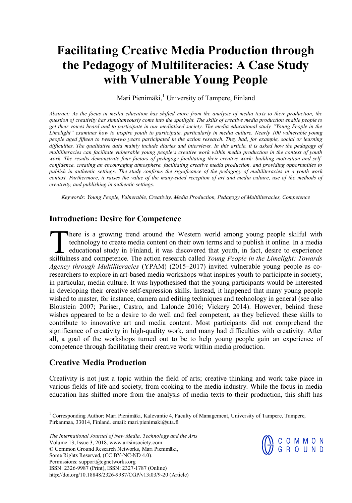## **Facilitating Creative Media Production through the Pedagogy of Multiliteracies: A Case Study with Vulnerable Young People**

Mari Pienimäki,<sup>1</sup> University of Tampere, Finland

Abstract: As the focus in media education has shifted more from the analysis of media texts to their production, the *question of creativity has simultaneously come into the spotlight. The skills of creative media production enable people to get their voices heard and to participate in our mediatised society. The media educational study "Young People in the Limelight" examines how to inspire youth to participate, particularly in media culture. Nearly 100 vulnerable young people aged fifteen to twenty-two years participated in the action research. They had, for example, social or learning difficulties. The qualitative data mainly include diaries and interviews. In this article, it is asked how the pedagogy of multiliteracies can facilitate vulnerable young people's creative work within media production in the context of youth work. The results demonstrate four factors of pedagogy facilitating their creative work: building motivation and selfconfidence, creating an encouraging atmosphere, facilitating creative media production, and providing opportunities to publish in authentic settings. The study confirms the significance of the pedagogy of multiliteracies in a youth work context. Furthermore, it raises the value of the many-sided reception of art and media culture, use of the methods of creativity, and publishing in authentic settings.* 

*Keywords: Young People, Vulnerable, Creativity, Media Production, Pedagogy of Multiliteracies, Competence* 

## **Introduction: Desire for Competence**

here is a growing trend around the Western world among young people skilful with technology to create media content on their own terms and to publish it online. In a media educational study in Finland, it was discovered that youth, in fact, desire to experience There is a growing trend around the Western world among young people skilful with technology to create media content on their own terms and to publish it online. In a media educational study in Finland, it was discovered t *Agency through Multiliteracies* (YPAM) (2015–2017) invited vulnerable young people as coresearchers to explore in art-based media workshops what inspires youth to participate in society, in particular, media culture. It was hypothesised that the young participants would be interested in developing their creative self-expression skills. Instead, it happened that many young people wished to master, for instance, camera and editing techniques and technology in general (see also Bloustein 2007; Pariser, Castro, and Lalonde 2016; Vickery 2014). However, behind these wishes appeared to be a desire to do well and feel competent, as they believed these skills to contribute to innovative art and media content. Most participants did not comprehend the significance of creativity in high-quality work, and many had difficulties with creativity. After all, a goal of the workshops turned out to be to help young people gain an experience of competence through facilitating their creative work within media production.

## **Creative Media Production**

Creativity is not just a topic within the field of arts; creative thinking and work take place in various fields of life and society, from cooking to the media industry. While the focus in media education has shifted more from the analysis of media texts to their production, this shift has

*The International Journal of New Media, Technology and the Arts*  Volume 13, Issue 3, 2018, www.artsinsociety.com © Common Ground Research Networks, Mari Pienimäki, Some Rights Reserved, (CC BY-NC-ND 4.0). Permissions: support@cgnetworks.org ISSN: 2326-9987 (Print), ISSN: 2327-1787 (Online) http://doi.org/10.18848/2326-9987/CGP/v13i03/9-20 (Article)



<sup>&</sup>lt;sup>1</sup> Corresponding Author: Mari Pienimäki, Kalevantie 4, Faculty of Management, University of Tampere, Tampere, Pirkanmaa, 33014, Finland. email: mari.pienimaki@uta.fi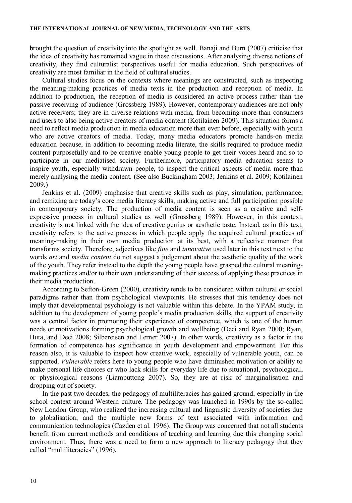brought the question of creativity into the spotlight as well. Banaji and Burn (2007) criticise that the idea of creativity has remained vague in these discussions. After analysing diverse notions of creativity, they find culturalist perspectives useful for media education. Such perspectives of creativity are most familiar in the field of cultural studies.

Cultural studies focus on the contexts where meanings are constructed, such as inspecting the meaning-making practices of media texts in the production and reception of media. In addition to production, the reception of media is considered an active process rather than the passive receiving of audience (Grossberg 1989). However, contemporary audiences are not only active receivers; they are in diverse relations with media, from becoming more than consumers and users to also being active creators of media content (Kotilainen 2009). This situation forms a need to reflect media production in media education more than ever before, especially with youth who are active creators of media. Today, many media educators promote hands-on media education because, in addition to becoming media literate, the skills required to produce media content purposefully and to be creative enable young people to get their voices heard and so to participate in our mediatised society. Furthermore, participatory media education seems to inspire youth, especially withdrawn people, to inspect the critical aspects of media more than merely analysing the media content. (See also Buckingham 2003; Jenkins et al. 2009; Kotilainen 2009.)

Jenkins et al. (2009) emphasise that creative skills such as play, simulation, performance, and remixing are today's core media literacy skills, making active and full participation possible in contemporary society. The production of media content is seen as a creative and selfexpressive process in cultural studies as well (Grossberg 1989). However, in this context, creativity is not linked with the idea of creative genius or aesthetic taste. Instead, as in this text, creativity refers to the active process in which people apply the acquired cultural practices of meaning-making in their own media production at its best, with a reflective manner that transforms society. Therefore, adjectives like *fine* and *innovative* used later in this text next to the words *art* and *media content* do not suggest a judgement about the aesthetic quality of the work of the youth. They refer instead to the depth the young people have grasped the cultural meaningmaking practices and/or to their own understanding of their success of applying these practices in their media production.

According to Sefton-Green (2000), creativity tends to be considered within cultural or social paradigms rather than from psychological viewpoints. He stresses that this tendency does not imply that developmental psychology is not valuable within this debate. In the YPAM study, in addition to the development of young people's media production skills, the support of creativity was a central factor in promoting their experience of competence, which is one of the human needs or motivations forming psychological growth and wellbeing (Deci and Ryan 2000; Ryan, Huta, and Deci 2008; Silbereisen and Lerner 2007). In other words, creativity as a factor in the formation of competence has significance in youth development and empowerment. For this reason also, it is valuable to inspect how creative work, especially of vulnerable youth, can be supported. *Vulnerable* refers here to young people who have diminished motivation or ability to make personal life choices or who lack skills for everyday life due to situational, psychological, or physiological reasons (Liamputtong 2007). So, they are at risk of marginalisation and dropping out of society.

In the past two decades, the pedagogy of multiliteracies has gained ground, especially in the school context around Western culture. The pedagogy was launched in 1990s by the so-called New London Group, who realized the increasing cultural and linguistic diversity of societies due to globalisation, and the multiple new forms of text associated with information and communication technologies (Cazden et al. 1996). The Group was concerned that not all students benefit from current methods and conditions of teaching and learning due this changing social environment. Thus, there was a need to form a new approach to literacy pedagogy that they called "multiliteracies" (1996).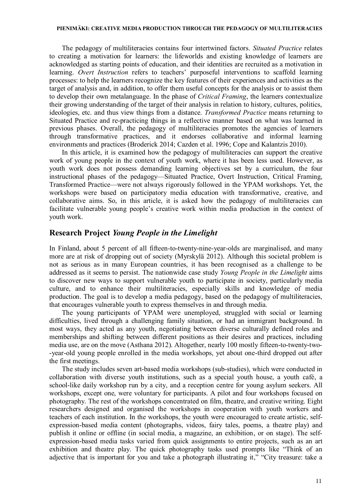## **PIENIMÄKI: CREATIVE MEDIA PRODUCTION THROUGH THE PEDAGOGY OF MULTILITERACIES**

The pedagogy of multiliteracies contains four intertwined factors. *Situated Practice* relates to creating a motivation for learners: the lifeworlds and existing knowledge of learners are acknowledged as starting points of education, and their identities are recruited as a motivation in learning. *Overt Instruction* refers to teachers' purposeful interventions to scaffold learning processes: to help the learners recognize the key features of their experiences and activities as the target of analysis and, in addition, to offer them useful concepts for the analysis or to assist them to develop their own metalanguage. In the phase of *Critical Framing*, the learners contextualize their growing understanding of the target of their analysis in relation to history, cultures, politics, ideologies, etc. and thus view things from a distance. *Transformed Practice* means returning to Situated Practice and re-practicing things in a reflective manner based on what was learned in previous phases. Overall, the pedagogy of multiliteracies promotes the agencies of learners through transformative practices, and it endorses collaborative and informal learning environments and practices (Broderick 2014; Cazden et al. 1996; Cope and Kalantzis 2010).

In this article, it is examined how the pedagogy of multiliteracies can support the creative work of young people in the context of youth work, where it has been less used. However, as youth work does not possess demanding learning objectives set by a curriculum, the four instructional phases of the pedagogy—Situated Practice, Overt Instruction, Critical Framing, Transformed Practice—were not always rigorously followed in the YPAM workshops. Yet, the workshops were based on participatory media education with transformative, creative, and collaborative aims. So, in this article, it is asked how the pedagogy of multiliteracies can facilitate vulnerable young people's creative work within media production in the context of youth work.

## **Research Project** *Young People in the Limelight*

In Finland, about 5 percent of all fifteen-to-twenty-nine-year-olds are marginalised, and many more are at risk of dropping out of society (Myrskylä 2012). Although this societal problem is not as serious as in many European countries, it has been recognised as a challenge to be addressed as it seems to persist. The nationwide case study *Young People in the Limelight* aims to discover new ways to support vulnerable youth to participate in society, particularly media culture, and to enhance their multiliteracies, especially skills and knowledge of media production. The goal is to develop a media pedagogy, based on the pedagogy of multiliteracies, that encourages vulnerable youth to express themselves in and through media.

The young participants of YPAM were unemployed, struggled with social or learning difficulties, lived through a challenging family situation, or had an immigrant background. In most ways, they acted as any youth, negotiating between diverse culturally defined roles and memberships and shifting between different positions as their desires and practices, including media use, are on the move (Asthana 2012). Altogether, nearly 100 mostly fifteen-to-twenty-two- -year-old young people enrolled in the media workshops, yet about one-third dropped out after the first meetings.

The study includes seven art-based media workshops (sub-studies), which were conducted in collaboration with diverse youth institutions, such as a special youth house, a youth café, a school-like daily workshop run by a city, and a reception centre for young asylum seekers. All workshops, except one, were voluntary for participants. A pilot and four workshops focused on photography. The rest of the workshops concentrated on film, theatre, and creative writing. Eight researchers designed and organised the workshops in cooperation with youth workers and teachers of each institution. In the workshops, the youth were encouraged to create artistic, selfexpression-based media content (photographs, videos, fairy tales, poems, a theatre play) and publish it online or offline (in social media, a magazine, an exhibition, or on stage). The selfexpression-based media tasks varied from quick assignments to entire projects, such as an art exhibition and theatre play. The quick photography tasks used prompts like "Think of an adjective that is important for you and take a photograph illustrating it," "City treasure: take a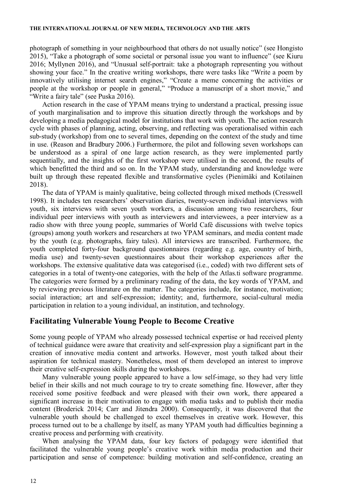photograph of something in your neighbourhood that others do not usually notice" (see Hongisto 2015), "Take a photograph of some societal or personal issue you want to influence" (see Kiuru 2016; Myllynen 2016), and "Unusual self-portrait: take a photograph representing you without showing your face." In the creative writing workshops, there were tasks like "Write a poem by innovatively utilising internet search engines," "Create a meme concerning the activities or people at the workshop or people in general," "Produce a manuscript of a short movie," and "Write a fairy tale" (see Puska 2016).

Action research in the case of YPAM means trying to understand a practical, pressing issue of youth marginalisation and to improve this situation directly through the workshops and by developing a media pedagogical model for institutions that work with youth. The action research cycle with phases of planning, acting, observing, and reflecting was operationalised within each sub-study (workshop) from one to several times, depending on the context of the study and time in use. (Reason and Bradbury 2006.) Furthermore, the pilot and following seven workshops can be understood as a spiral of one large action research, as they were implemented partly sequentially, and the insights of the first workshop were utilised in the second, the results of which benefitted the third and so on. In the YPAM study, understanding and knowledge were built up through these repeated flexible and transformative cycles (Pienimäki and Kotilainen 2018).

The data of YPAM is mainly qualitative, being collected through mixed methods (Cresswell 1998). It includes ten researchers' observation diaries, twenty-seven individual interviews with youth, six interviews with seven youth workers, a discussion among two researchers, four individual peer interviews with youth as interviewers and interviewees, a peer interview as a radio show with three young people, summaries of World Café discussions with twelve topics (groups) among youth workers and researchers at two YPAM seminars, and media content made by the youth (e.g. photographs, fairy tales). All interviews are transcribed. Furthermore, the youth completed forty-four background questionnaires (regarding e.g. age, country of birth, media use) and twenty-seven questionnaires about their workshop experiences after the workshops. The extensive qualitative data was categorised (i.e., coded) with two different sets of categories in a total of twenty-one categories, with the help of the Atlas.ti software programme. The categories were formed by a preliminary reading of the data, the key words of YPAM, and by reviewing previous literature on the matter. The categories include, for instance, motivation; social interaction; art and self-expression; identity; and, furthermore, social-cultural media participation in relation to a young individual, an institution, and technology.

## **Facilitating Vulnerable Young People to Become Creative**

Some young people of YPAM who already possessed technical expertise or had received plenty of technical guidance were aware that creativity and self-expression play a significant part in the creation of innovative media content and artworks. However, most youth talked about their aspiration for technical mastery. Nonetheless, most of them developed an interest to improve their creative self-expression skills during the workshops.

Many vulnerable young people appeared to have a low self-image, so they had very little belief in their skills and not much courage to try to create something fine. However, after they received some positive feedback and were pleased with their own work, there appeared a significant increase in their motivation to engage with media tasks and to publish their media content (Broderick 2014; Carr and Jitendra 2000). Consequently, it was discovered that the vulnerable youth should be challenged to excel themselves in creative work. However, this process turned out to be a challenge by itself, as many YPAM youth had difficulties beginning a creative process and performing with creativity.

When analysing the YPAM data, four key factors of pedagogy were identified that facilitated the vulnerable young people's creative work within media production and their participation and sense of competence: building motivation and self-confidence, creating an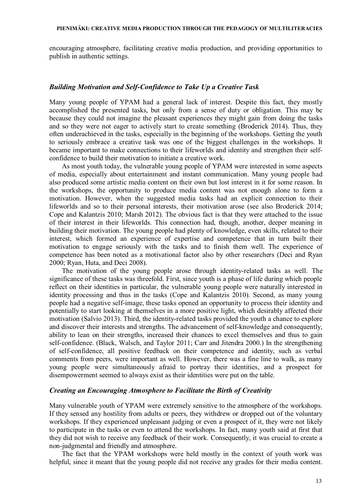encouraging atmosphere, facilitating creative media production, and providing opportunities to publish in authentic settings.

## *Building Motivation and Self-Confidence to Take Up a Creative Task*

Many young people of YPAM had a general lack of interest. Despite this fact, they mostly accomplished the presented tasks, but only from a sense of duty or obligation. This may be because they could not imagine the pleasant experiences they might gain from doing the tasks and so they were not eager to actively start to create something (Broderick 2014). Thus, they often underachieved in the tasks, especially in the beginning of the workshops. Getting the youth to seriously embrace a creative task was one of the biggest challenges in the workshops. It became important to make connections to their lifeworlds and identity and strengthen their selfconfidence to build their motivation to initiate a creative work.

As most youth today, the vulnerable young people of YPAM were interested in some aspects of media, especially about entertainment and instant communication. Many young people had also produced some artistic media content on their own but lost interest in it for some reason. In the workshops, the opportunity to produce media content was not enough alone to form a motivation. However, when the suggested media tasks had an explicit connection to their lifeworlds and so to their personal interests, their motivation arose (see also Broderick 2014; Cope and Kalantzis 2010; Marsh 2012). The obvious fact is that they were attached to the issue of their interest in their lifeworlds. This connection had, though, another, deeper meaning in building their motivation. The young people had plenty of knowledge, even skills, related to their interest, which formed an experience of expertise and competence that in turn built their motivation to engage seriously with the tasks and to finish them well. The experience of competence has been noted as a motivational factor also by other researchers (Deci and Ryan 2000; Ryan, Huta, and Deci 2008).

The motivation of the young people arose through identity-related tasks as well. The significance of these tasks was threefold. First, since youth is a phase of life during which people reflect on their identities in particular, the vulnerable young people were naturally interested in identity processing and thus in the tasks (Cope and Kalantzis 2010). Second, as many young people had a negative self-image, these tasks opened an opportunity to process their identity and potentially to start looking at themselves in a more positive light, which desirably affected their motivation (Salvio 2013). Third, the identity-related tasks provided the youth a chance to explore and discover their interests and strengths. The advancement of self-knowledge and consequently, ability to lean on their strengths, increased their chances to excel themselves and thus to gain self-confidence. (Black, Walsch, and Taylor 2011; Carr and Jitendra 2000.) In the strengthening of self-confidence, all positive feedback on their competence and identity, such as verbal comments from peers, were important as well. However, there was a fine line to walk, as many young people were simultaneously afraid to portray their identities, and a prospect for disempowerment seemed to always exist as their identities were put on the table.

## *Creating an Encouraging Atmosphere to Facilitate the Birth of Creativity*

Many vulnerable youth of YPAM were extremely sensitive to the atmosphere of the workshops. If they sensed any hostility from adults or peers, they withdrew or dropped out of the voluntary workshops. If they experienced unpleasant judging or even a prospect of it, they were not likely to participate in the tasks or even to attend the workshops. In fact, many youth said at first that they did not wish to receive any feedback of their work. Consequently, it was crucial to create a non-judgmental and friendly and atmosphere.

The fact that the YPAM workshops were held mostly in the context of youth work was helpful, since it meant that the young people did not receive any grades for their media content.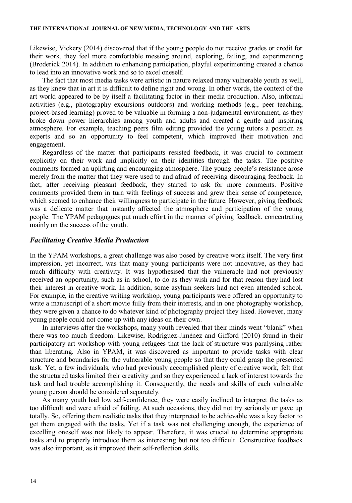Likewise, Vickery (2014) discovered that if the young people do not receive grades or credit for their work, they feel more comfortable messing around, exploring, failing, and experimenting (Broderick 2014). In addition to enhancing participation, playful experimenting created a chance to lead into an innovative work and so to excel oneself.

The fact that most media tasks were artistic in nature relaxed many vulnerable youth as well, as they knew that in art it is difficult to define right and wrong. In other words, the context of the art world appeared to be by itself a facilitating factor in their media production. Also, informal activities (e.g., photography excursions outdoors) and working methods (e.g., peer teaching, project-based learning) proved to be valuable in forming a non-judgmental environment, as they broke down power hierarchies among youth and adults and created a gentle and inspiring atmosphere. For example, teaching peers film editing provided the young tutors a position as experts and so an opportunity to feel competent, which improved their motivation and engagement.

Regardless of the matter that participants resisted feedback, it was crucial to comment explicitly on their work and implicitly on their identities through the tasks. The positive comments formed an uplifting and encouraging atmosphere. The young people's resistance arose merely from the matter that they were used to and afraid of receiving discouraging feedback. In fact, after receiving pleasant feedback, they started to ask for more comments. Positive comments provided them in turn with feelings of success and grew their sense of competence, which seemed to enhance their willingness to participate in the future. However, giving feedback was a delicate matter that instantly affected the atmosphere and participation of the young people. The YPAM pedagogues put much effort in the manner of giving feedback, concentrating mainly on the success of the youth.

## *Facilitating Creative Media Production*

In the YPAM workshops, a great challenge was also posed by creative work itself. The very first impression, yet incorrect, was that many young participants were not innovative, as they had much difficulty with creativity. It was hypothesised that the vulnerable had not previously received an opportunity, such as in school, to do as they wish and for that reason they had lost their interest in creative work. In addition, some asylum seekers had not even attended school. For example, in the creative writing workshop, young participants were offered an opportunity to write a manuscript of a short movie fully from their interests, and in one photography workshop, they were given a chance to do whatever kind of photography project they liked. However, many young people could not come up with any ideas on their own.

In interviews after the workshops, many youth revealed that their minds went "blank" when there was too much freedom. Likewise, Rodríguez-Jiménez and Gifford (2010) found in their participatory art workshop with young refugees that the lack of structure was paralysing rather than liberating. Also in YPAM, it was discovered as important to provide tasks with clear structure and boundaries for the vulnerable young people so that they could grasp the presented task. Yet, a few individuals, who had previously accomplished plenty of creative work, felt that the structured tasks limited their creativity ,and so they experienced a lack of interest towards the task and had trouble accomplishing it. Consequently, the needs and skills of each vulnerable young person should be considered separately.

As many youth had low self-confidence, they were easily inclined to interpret the tasks as too difficult and were afraid of failing. At such occasions, they did not try seriously or gave up totally. So, offering them realistic tasks that they interpreted to be achievable was a key factor to get them engaged with the tasks. Yet if a task was not challenging enough, the experience of excelling oneself was not likely to appear. Therefore, it was crucial to determine appropriate tasks and to properly introduce them as interesting but not too difficult. Constructive feedback was also important, as it improved their self-reflection skills.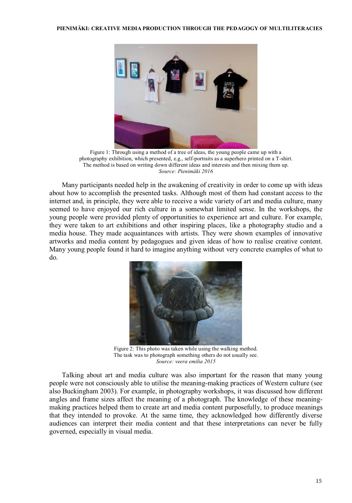

Figure 1: Through using a method of a tree of ideas, the young people came up with a photography exhibition, which presented, e.g., self-portraits as a superhero printed on a T-shirt. The method is based on writing down different ideas and interests and then mixing them up. *Source: Pienimäki 2016*

Many participants needed help in the awakening of creativity in order to come up with ideas about how to accomplish the presented tasks. Although most of them had constant access to the internet and, in principle, they were able to receive a wide variety of art and media culture, many seemed to have enjoyed our rich culture in a somewhat limited sense. In the workshops, the young people were provided plenty of opportunities to experience art and culture. For example, they were taken to art exhibitions and other inspiring places, like a photography studio and a media house. They made acquaintances with artists. They were shown examples of innovative artworks and media content by pedagogues and given ideas of how to realise creative content. Many young people found it hard to imagine anything without very concrete examples of what to do.



Figure 2: This photo was taken while using the walking method. The task was to photograph something others do not usually see. *Source: veera emilia 2015*

Talking about art and media culture was also important for the reason that many young people were not consciously able to utilise the meaning-making practices of Western culture (see also Buckingham 2003). For example, in photography workshops, it was discussed how different angles and frame sizes affect the meaning of a photograph. The knowledge of these meaningmaking practices helped them to create art and media content purposefully, to produce meanings that they intended to provoke. At the same time, they acknowledged how differently diverse audiences can interpret their media content and that these interpretations can never be fully governed, especially in visual media.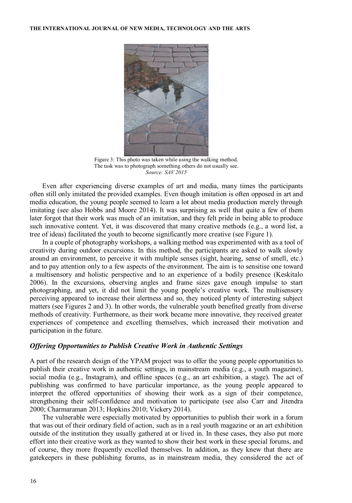

Figure 3: This photo was taken while using the walking method. The task was to photograph something others do not usually see. *Source: SAV 2015*

Even after experiencing diverse examples of art and media, many times the participants often still only imitated the provided examples. Even though imitation is often opposed in art and media education, the young people seemed to learn a lot about media production merely through imitating (see also Hobbs and Moore 2014). It was surprising as well that quite a few of them later forgot that their work was much of an imitation, and they felt pride in being able to produce such innovative content. Yet, it was discovered that many creative methods (e.g., a word list, a tree of ideas) facilitated the youth to become significantly more creative (see Figure 1).

In a couple of photography workshops, a walking method was experimented with as a tool of creativity during outdoor excursions. In this method, the participants are asked to walk slowly around an environment, to perceive it with multiple senses (sight, hearing, sense of smell, etc.) and to pay attention only to a few aspects of the environment. The aim is to sensitise one toward a multisensory and holistic perspective and to an experience of a bodily presence (Keskitalo 2006). In the excursions, observing angles and frame sizes gave enough impulse to start photographing, and yet, it did not limit the young people's creative work. The multisensory perceiving appeared to increase their alertness and so, they noticed plenty of interesting subject matters (see Figures 2 and 3). In other words, the vulnerable youth benefited greatly from diverse methods of creativity. Furthermore, as their work became more innovative, they received greater experiences of competence and excelling themselves, which increased their motivation and participation in the future.

## *Offering Opportunities to Publish Creative Work in Authentic Settings*

A part of the research design of the YPAM project was to offer the young people opportunities to publish their creative work in authentic settings, in mainstream media (e.g., a youth magazine), social media (e.g., Instagram), and offline spaces (e.g., an art exhibition, a stage). The act of publishing was confirmed to have particular importance, as the young people appeared to interpret the offered opportunities of showing their work as a sign of their competence, strengthening their self-confidence and motivation to participate (see also Carr and Jitendra 2000; Charmaraman 2013; Hopkins 2010; Vickery 2014).

The vulnerable were especially motivated by opportunities to publish their work in a forum that was out of their ordinary field of action, such as in a real youth magazine or an art exhibition outside of the institution they usually gathered at or lived in. In these cases, they also put more effort into their creative work as they wanted to show their best work in these special forums, and of course, they more frequently excelled themselves. In addition, as they knew that there are gatekeepers in these publishing forums, as in mainstream media, they considered the act of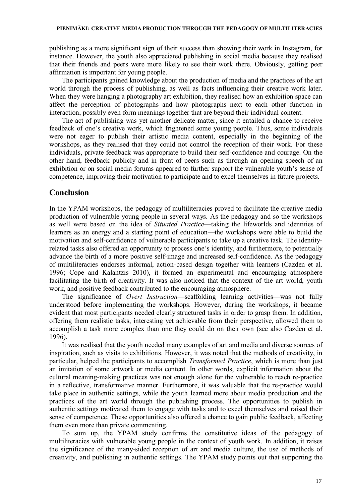publishing as a more significant sign of their success than showing their work in Instagram, for instance. However, the youth also appreciated publishing in social media because they realised that their friends and peers were more likely to see their work there. Obviously, getting peer affirmation is important for young people.

The participants gained knowledge about the production of media and the practices of the art world through the process of publishing, as well as facts influencing their creative work later. When they were hanging a photography art exhibition, they realised how an exhibition space can affect the perception of photographs and how photographs next to each other function in interaction, possibly even form meanings together that are beyond their individual content.

The act of publishing was yet another delicate matter, since it entailed a chance to receive feedback of one's creative work, which frightened some young people. Thus, some individuals were not eager to publish their artistic media content, especially in the beginning of the workshops, as they realised that they could not control the reception of their work. For these individuals, private feedback was appropriate to build their self-confidence and courage. On the other hand, feedback publicly and in front of peers such as through an opening speech of an exhibition or on social media forums appeared to further support the vulnerable youth's sense of competence, improving their motivation to participate and to excel themselves in future projects.

## **Conclusion**

In the YPAM workshops, the pedagogy of multiliteracies proved to facilitate the creative media production of vulnerable young people in several ways. As the pedagogy and so the workshops as well were based on the idea of *Situated Practice*—taking the lifeworlds and identities of learners as an energy and a starting point of education—the workshops were able to build the motivation and self-confidence of vulnerable participants to take up a creative task. The identityrelated tasks also offered an opportunity to process one's identity, and furthermore, to potentially advance the birth of a more positive self-image and increased self-confidence. As the pedagogy of multiliteracies endorses informal, action-based design together with learners (Cazden et al. 1996; Cope and Kalantzis 2010), it formed an experimental and encouraging atmosphere facilitating the birth of creativity. It was also noticed that the context of the art world, youth work, and positive feedback contributed to the encouraging atmosphere.

The significance of *Overt Instruction*—scaffolding learning activities—was not fully understood before implementing the workshops. However, during the workshops, it became evident that most participants needed clearly structured tasks in order to grasp them. In addition, offering them realistic tasks, interesting yet achievable from their perspective, allowed them to accomplish a task more complex than one they could do on their own (see also Cazden et al. 1996).

It was realised that the youth needed many examples of art and media and diverse sources of inspiration, such as visits to exhibitions. However, it was noted that the methods of creativity, in particular, helped the participants to accomplish *Transformed Practice*, which is more than just an imitation of some artwork or media content. In other words, explicit information about the cultural meaning-making practices was not enough alone for the vulnerable to reach re-practice in a reflective, transformative manner. Furthermore, it was valuable that the re-practice would take place in authentic settings, while the youth learned more about media production and the practices of the art world through the publishing process. The opportunities to publish in authentic settings motivated them to engage with tasks and to excel themselves and raised their sense of competence. These opportunities also offered a chance to gain public feedback, affecting them even more than private commenting.

To sum up, the YPAM study confirms the constitutive ideas of the pedagogy of multiliteracies with vulnerable young people in the context of youth work. In addition, it raises the significance of the many-sided reception of art and media culture, the use of methods of creativity, and publishing in authentic settings. The YPAM study points out that supporting the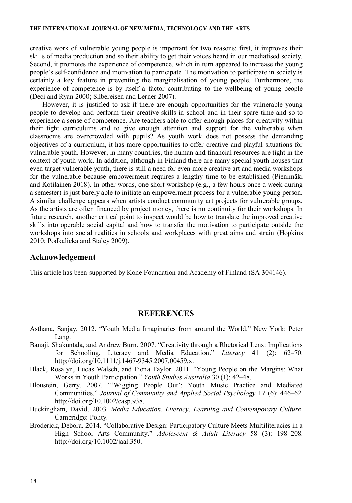creative work of vulnerable young people is important for two reasons: first, it improves their skills of media production and so their ability to get their voices heard in our mediatised society. Second, it promotes the experience of competence, which in turn appeared to increase the young people's self-confidence and motivation to participate. The motivation to participate in society is certainly a key feature in preventing the marginalisation of young people. Furthermore, the experience of competence is by itself a factor contributing to the wellbeing of young people (Deci and Ryan 2000; Silbereisen and Lerner 2007).

However, it is justified to ask if there are enough opportunities for the vulnerable young people to develop and perform their creative skills in school and in their spare time and so to experience a sense of competence. Are teachers able to offer enough places for creativity within their tight curriculums and to give enough attention and support for the vulnerable when classrooms are overcrowded with pupils? As youth work does not possess the demanding objectives of a curriculum, it has more opportunities to offer creative and playful situations for vulnerable youth. However, in many countries, the human and financial resources are tight in the context of youth work. In addition, although in Finland there are many special youth houses that even target vulnerable youth, there is still a need for even more creative art and media workshops for the vulnerable because empowerment requires a lengthy time to be established (Pienimäki and Kotilainen 2018). In other words, one short workshop (e.g., a few hours once a week during a semester) is just barely able to initiate an empowerment process for a vulnerable young person. A similar challenge appears when artists conduct community art projects for vulnerable groups. As the artists are often financed by project money, there is no continuity for their workshops. In future research, another critical point to inspect would be how to translate the improved creative skills into operable social capital and how to transfer the motivation to participate outside the workshops into social realities in schools and workplaces with great aims and strain (Hopkins 2010; Podkalicka and Staley 2009).

## **Acknowledgement**

This article has been supported by Kone Foundation and Academy of Finland (SA 304146).

## **REFERENCES**

- Asthana, Sanjay. 2012. "Youth Media Imaginaries from around the World." New York: Peter Lang.
- Banaji, Shakuntala, and Andrew Burn. 2007. "Creativity through a Rhetorical Lens: Implications for Schooling, Literacy and Media Education." *Literacy* 41 (2): 62–70. http://doi.org/10.1111/j.1467-9345.2007.00459.x.
- Black, Rosalyn, Lucas Walsch, and Fiona Taylor. 2011. "Young People on the Margins: What Works in Youth Participation." *Youth Studies Australia* 30 (1): 42–48.
- Bloustein, Gerry. 2007. "'Wigging People Out': Youth Music Practice and Mediated Communities." *Journal of Community and Applied Social Psychology* 17 (6): 446–62. http://doi.org/10.1002/casp.938.
- Buckingham, David. 2003. *Media Education. Literacy, Learning and Contemporary Culture*. Cambridge: Polity.
- Broderick, Debora. 2014. "Collaborative Design: Participatory Culture Meets Multiliteracies in a High School Arts Community." *Adolescent & Adult Literacy* 58 (3): 198–208. http://doi.org/10.1002/jaal.350.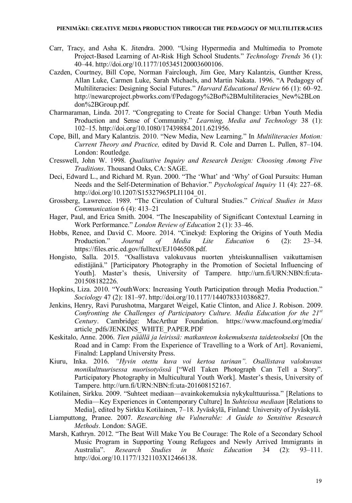- Carr, Tracy, and Asha K. Jitendra. 2000. "Using Hypermedia and Multimedia to Promote Project-Based Learning of At-Risk High School Students." *Technology Trends* 36 (1): 40–44. http://doi.org/10.1177/105345120003600106.
- Cazden, Courtney, Bill Cope, Norman Fairclough, Jim Gee, Mary Kalantzis, Gunther Kress, Allan Luke, Carmen Luke, Sarah Michaels, and Martin Nakata. 1996. "A Pedagogy of Multiliteracies: Designing Social Futures." *Harvard Educational Review* 66 (1): 60–92. http://newarcproject.pbworks.com/f/Pedagogy%2Bof%2BMultiliteracies\_New%2BLon don%2BGroup.pdf.
- Charmaraman, Linda. 2017. "Congregating to Create for Social Change: Urban Youth Media Production and Sense of Community." *Learning, Media and Technology* 38 (1): 102–15. http://doi.org/10.1080/17439884.2011.621956.
- Cope, Bill, and Mary Kalantzis. 2010. "New Media, New Learning." In *Multiliteracies Motion: Current Theory and Practice,* edited by David R. Cole and Darren L. Pullen, 87–104. London: Routledge.
- Cresswell, John W. 1998. *Qualitative Inquiry and Research Design: Choosing Among Five Traditions*. Thousand Oaks, CA: SAGE.
- Deci, Edward L., and Richard M. Ryan. 2000. "The 'What' and 'Why' of Goal Pursuits: Human Needs and the Self-Determination of Behavior." *Psychological Inquiry* 11 (4): 227–68. http://doi.org/10.1207/S15327965PLI1104\_01.
- Grossberg, Lawrence. 1989. "The Circulation of Cultural Studies." *Critical Studies in Mass Communication* 6 (4): 413–21
- Hager, Paul, and Erica Smith. 2004. "The Inescapability of Significant Contextual Learning in Work Performance." *London Review of Education* 2 (1): 33–46.
- Hobbs, Renee, and David C. Moore. 2014. "Cinekyd: Explorin[g the Origins of Youth Media](http://urn.fi/URN:NBN:fi:uta-201508182226)  [Production."](http://urn.fi/URN:NBN:fi:uta-201508182226) *Journal of Media Lite Education* 6 (2): 23–34. https://files.eric.ed.gov/fulltext/EJ1046508.pdf.
- Hongisto, Salla. 2015. "Osallistava valokuvaus nuorten yhteiskunnallisen vaikuttamisen edistäjänä." [Participatory Photography in the Promotion of Societal Influencing of Youth]. Master's thesis, University of Tampere. http://urn.fi/URN:NBN:fi:uta-201508182226.
- Hopkins, Liza. 2010. "YouthWorx: Increasing Youth Participation through Media Production." *Sociology* 47 (2): 181–97. http://doi.org/10.1177/1440783310386827.
- Jenkins, Henry, Ravi Purushotma, Margaret Weigel, Katie Clinton, and Alice J. Robison. 2009. *Confronting the Challenges of Participatory Culture. Media Education for the 21st Century*. Cambridge: MacArthur Foundation. https://www.macfound.org/media/ article\_pdfs/JENKINS\_WHITE\_PAPER.PDF
- Keskitalo, Anne. 2006. *Tien päällä ja leirissä: matkanteon kokemuksesta taideteokseksi* [On the Road an[d in Camp: From the Experience of Travelling](http://urn.fi/URN:NBN:fi:uta-201608152167) to a Work of Art]. Rovaniemi, Finalnd: Lappland University Press.
- Kiuru, Inka. 2016. *"Hyvin otettu kuva voi kertoa tarinan". Osallistava valokuvaus monikulttuurisessa nuorisotyössä* ["Well Taken Photograph Can Tell a Story". Participatory Photography in Multicultural Youth Work]. Master's thesis, University of Tampere. http://urn.fi/URN:NBN:fi:uta-201608152167.
- Kotilainen, Sirkku. 2009. "Suhteet mediaan—avainkokemuksia nykykulttuurissa." [Relations to Media—Key Experiences in Contemporary Culture] In *Suhteissa mediaan* [Relations to Media], edited by Sirkku Kotilainen, 7–18. Jyväskylä, Finland: University of Jyväskylä.
- Liamputtong, Pranee. 2007. *Researching the Vulnerable: A Guide to Sensitive Research Methods*. London: SAGE.
- Marsh, Kathryn. 2012. "The Beat Will Make You Be Courage: The Role of a Secondary School Music Program in Supporting Young Refugees and Newly Arrived Immigrants in Australia". *[Research Studies in Music Educa](http://urn.fi/URN:NBN:fi:uta-201606232004)tion* 34 (2): 93–111. http://doi.org/10.1177/1321103X12466138.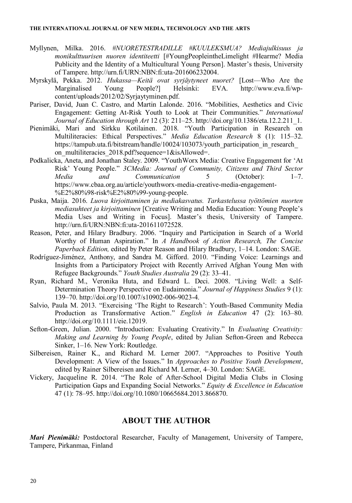- Myllynen, Milka. 2016. *#NUORETESTRADILLE #KUULEKSMUA? Mediajulkisuus ja monikulttuurisen nuoren identiteetti* [#YoungPeopleintheLimelight #Hearme? Media Publicity and the Identity of a Multicultural Young Person]. Master's thesis, University of Tampere. http://urn.fi/URN:NBN:fi:uta-201606232004.
- Myrskylä, Pekka. 2012. *Hukassa—Keitä ovat syrjäytyneet nuoret?* [Lost—Who Are the Marginalised Young People?] Helsinki: EVA. http://www.eva.fi/wpcontent/uploads/2012/02/Syrjaytyminen.pdf.
- Pariser, David, Juan C. Castro, and Martin Lalonde. 2016. "Mobilities, Aesthetics and Civic Engagement: Getting At-Risk Youth to Look at Their Communities." *International Journal of Education through Art* 12 (3): 211–25. http://doi.org/10.1386/eta.12.2.211\_1.
- Pienimäki, Mari and Sirkku Kotilainen. 2018. "Youth Participation in Research on Multiliteracies: Ethical Perspectives." *Media Education Research* 8 (1): 115–32. https://tampub.uta.fi/bitstream/handle/10024/103073/youth\_participation\_in\_research on multiliteracies 2018.pdf?sequence=1&isAllowed=.
- Podkalicka, Aneta, and Jonathan Staley. 2009. "YouthWorx Media: Creative Engagement for 'At Risk' Young People." *3CMedia: Journal of Community, Citizens and Third Sector Media and Communication* 5 (October): 1–7. https://www.cbaa.org.au/article/youthworx-media-creative-media-engagement- [%E2%80%98-risk%E2%80%99-young-peopl](http://urn.fi/URN:NBN:fi:uta-201611072528)e.
- Puska, Maija. 2016. *Luova kirjoittaminen ja mediakasvatus. Tarkastelussa työttömien nuorten mediasuhteet ja kirjoittaminen* [Creative Writing and Media Education: Young People's Media Uses and Writing in Focus]. Master's thesis, University of Tampere. http://urn.fi/URN:NBN:fi:uta-201611072528.
- Reason, Peter, and Hilary Bradbury. 2006. "Inquiry and Participation in Search of a World Worthy of Human Aspiration." In *A Handbook of Action Research, The Concise Paperback Edition,* edited by Peter Reason and Hilary Bradbury, 1–14. London: SAGE.
- Rodríguez-Jiménez, Anthony, and Sandra M. Gifford. 2010. "Finding Voice: Learnings and Insights from a Participatory Project with Recently Arrived Afghan Young Men with Refugee Backgrounds." *Youth Studies Australia* 29 (2): 33–41.
- Ryan, Richard M., Veronika Huta, and Edward L. Deci. 2008. "Living Well: a Self-Determination Theory Perspective on Eudaimonia." *Journal of Happiness Studies* 9 (1): 139–70. http://doi.org/10.1007/s10902-006-9023-4.
- Salvio, Paula M. 2013. "Exercising 'The Right to Research': Youth-Based Community Media Production as Transformative Action." *English in Education* 47 (2): 163–80. http://doi.org/10.1111/eie.12019.
- Sefton-Green, Julian. 2000. "Introduction: Evaluating Creativity." In *Evaluating Creativity: Making and Learning by Young People*, edited by Julian Sefton-Green and Rebecca Sinker, 1–16. New York: Routledge.
- Silbereisen, Rainer K., and Richard M. Lerner 2007. "Approaches to Positive Youth Development: A View of the Issues." In *Approaches to Positive Youth Development*, edited by Rainer Silbereisen and Richard M. Lerner, 4–30. London: SAGE.
- Vickery, Jacqueline R. 2014. "The Role of After-School Digital Media Clubs in Closing Participation Gaps and Expanding Social Networks." *Equity & Excellence in Education* 47 (1): 78–95. http://doi.org/10.1080/10665684.2013.866870.

## **ABOUT THE AUTHOR**

*Mari Pienimäki:* Postdoctoral Researcher, Faculty of Management, University of Tampere, Tampere, Pirkanmaa, Finland